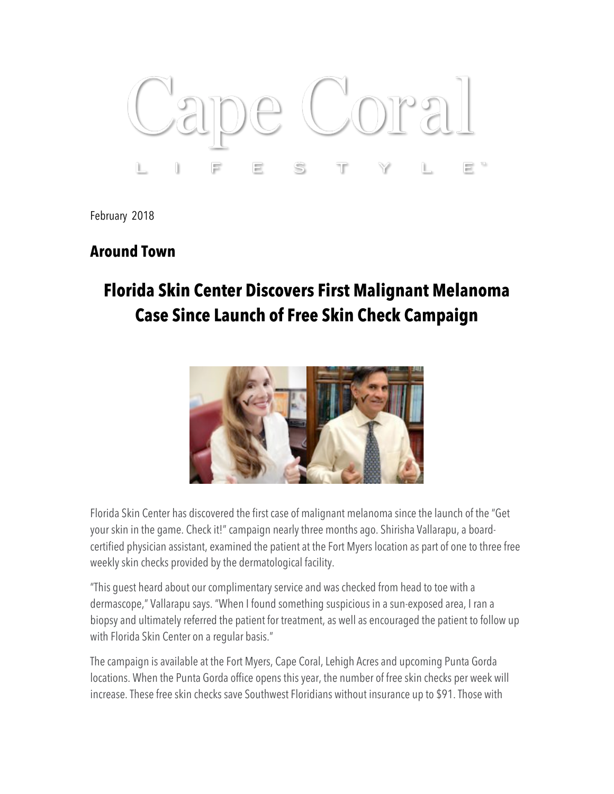

February 2018

## **Around Town**

## **Florida Skin Center Discovers First Malignant Melanoma Case Since Launch of Free Skin Check Campaign**



Florida Skin Center has discovered the first case of malignant melanoma since the launch of the "Get your skin in the game. Check it!" campaign nearly three months ago. Shirisha Vallarapu, a boardcertified physician assistant, examined the patient at the Fort Myers location as part of one to three free weekly skin checks provided by the dermatological facility.

"This guest heard about our complimentary service and was checked from head to toe with a dermascope," Vallarapu says. "When I found something suspicious in a sun-exposed area, I ran a biopsy and ultimately referred the patient for treatment, as well as encouraged the patient to follow up with Florida Skin Center on a regular basis."

The campaign is available at the Fort Myers, Cape Coral, Lehigh Acres and upcoming Punta Gorda locations. When the Punta Gorda office opens this year, the number of free skin checks per week will increase. These free skin checks save Southwest Floridians without insurance up to \$91. Those with